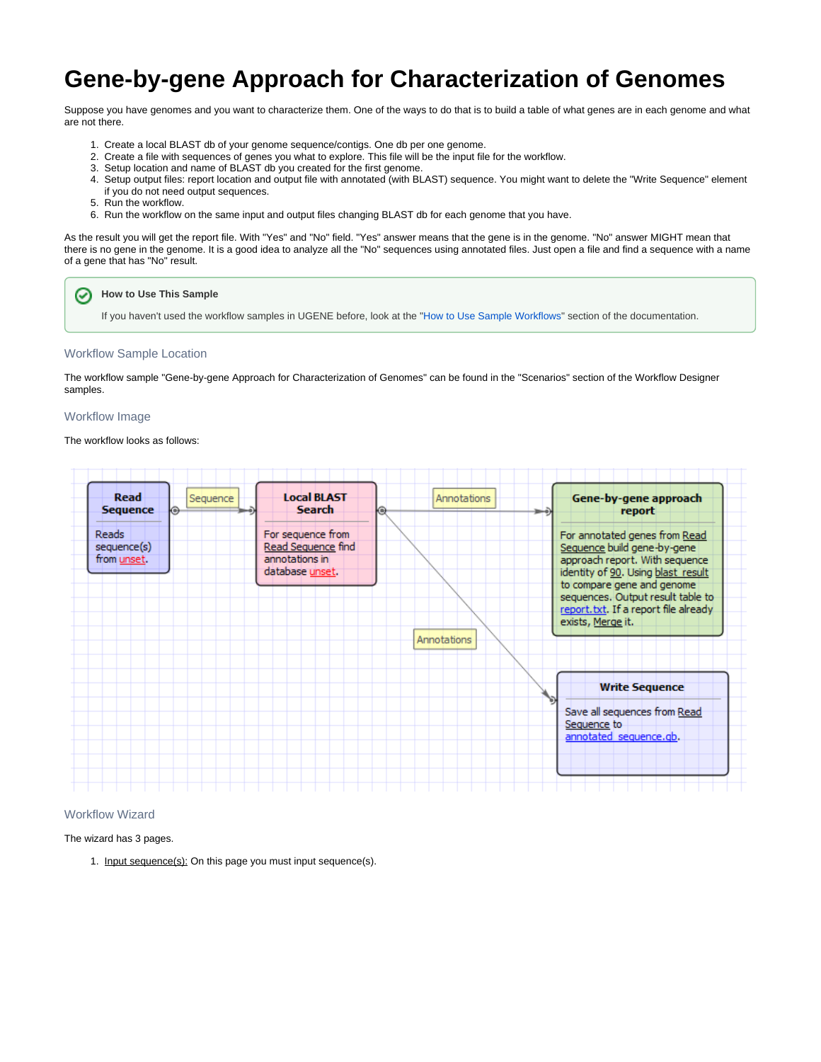# **Gene-by-gene Approach for Characterization of Genomes**

Suppose you have genomes and you want to characterize them. One of the ways to do that is to build a table of what genes are in each genome and what are not there.

- 1. Create a local BLAST db of your genome sequence/contigs. One db per one genome.
- 2. Create a file with sequences of genes you what to explore. This file will be the input file for the workflow.
- 3. Setup location and name of BLAST db you created for the first genome.
- 4. Setup output files: report location and output file with annotated (with BLAST) sequence. You might want to delete the "Write Sequence" element if you do not need output sequences.
- 5. Run the workflow.
- 6. Run the workflow on the same input and output files changing BLAST db for each genome that you have.

As the result you will get the report file. With "Yes" and "No" field. "Yes" answer means that the gene is in the genome. "No" answer MIGHT mean that there is no gene in the genome. It is a good idea to analyze all the "No" sequences using annotated files. Just open a file and find a sequence with a name of a gene that has "No" result.

## **How to Use This Sample**

If you haven't used the workflow samples in UGENE before, look at the "[How to Use Sample Workflows"](https://doc.ugene.net/wiki/display/UM/How+to+Use+Sample+Workflows) section of the documentation.

#### Workflow Sample Location

The workflow sample "Gene-by-gene Approach for Characterization of Genomes" can be found in the "Scenarios" section of the Workflow Designer samples.

#### Workflow Image

☑

### The workflow looks as follows:



#### Workflow Wizard

The wizard has 3 pages.

1. Input sequence(s): On this page you must input sequence(s).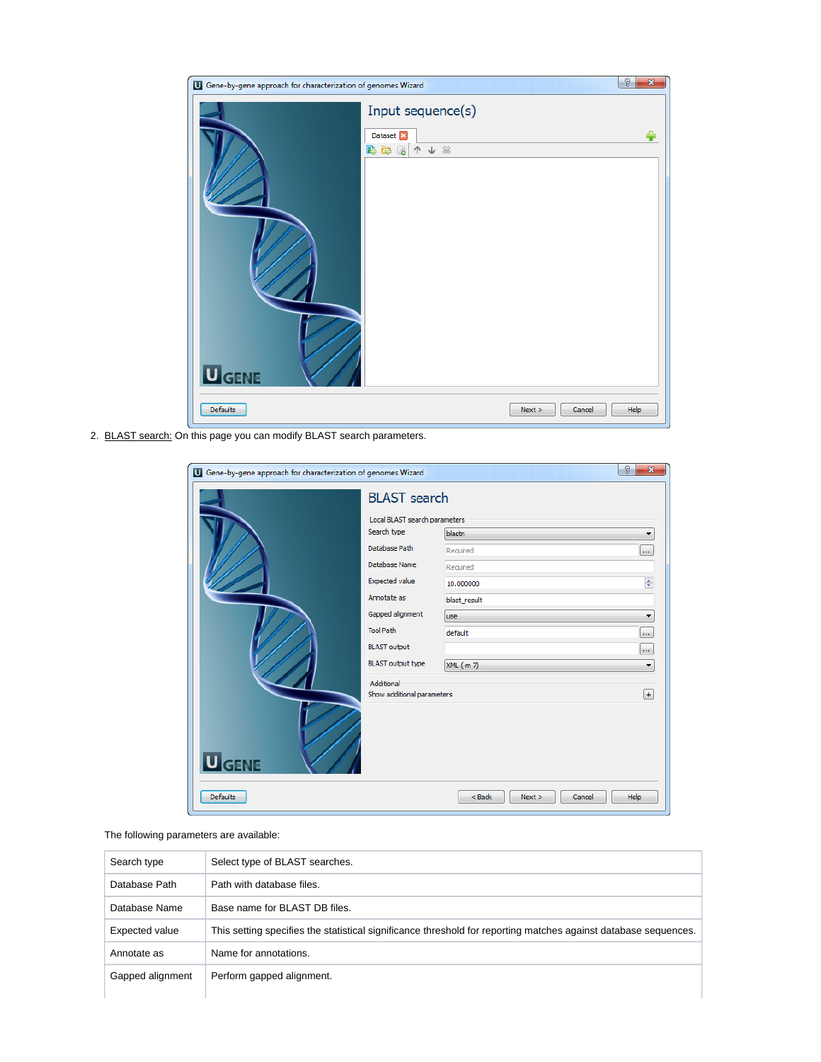| U Gene-by-gene approach for characterization of genomes Wizard |                                                              |      |
|----------------------------------------------------------------|--------------------------------------------------------------|------|
|                                                                | Input sequence(s)<br>Dataset <sup>[7]</sup><br>↑↓ ※<br>B & C |      |
|                                                                |                                                              |      |
|                                                                |                                                              |      |
| <b>U</b> GENE<br>Defaults                                      | Next ><br>Cancel                                             | Help |

2. BLAST search: On this page you can modify BLAST search parameters.

| $\mathcal{D}$<br>$\mathbf{x}$<br>U Gene-by-gene approach for characterization of genomes Wizard |                               |                                    |  |  |  |
|-------------------------------------------------------------------------------------------------|-------------------------------|------------------------------------|--|--|--|
|                                                                                                 | <b>BLAST</b> search           |                                    |  |  |  |
|                                                                                                 | Local BLAST search parameters |                                    |  |  |  |
|                                                                                                 | Search type                   | blastn                             |  |  |  |
|                                                                                                 | Database Path                 | Required<br>$\ldots$               |  |  |  |
|                                                                                                 | Database Name                 | Required                           |  |  |  |
|                                                                                                 | <b>Expected value</b>         | $\div$<br>10.000000                |  |  |  |
|                                                                                                 | Annotate as                   | blast_result                       |  |  |  |
|                                                                                                 | Gapped alignment              | <b>use</b><br>▼                    |  |  |  |
|                                                                                                 | <b>Tool Path</b>              | default<br>m.                      |  |  |  |
|                                                                                                 | <b>BLAST</b> output           | $\ldots$                           |  |  |  |
|                                                                                                 | <b>BLAST</b> output type      | XML (-m 7)<br>۰                    |  |  |  |
|                                                                                                 | Additional                    |                                    |  |  |  |
|                                                                                                 | Show additional parameters    | $^{[+]}$                           |  |  |  |
|                                                                                                 |                               |                                    |  |  |  |
|                                                                                                 |                               |                                    |  |  |  |
|                                                                                                 |                               |                                    |  |  |  |
| <b>U</b> GENE                                                                                   |                               |                                    |  |  |  |
|                                                                                                 |                               |                                    |  |  |  |
| <b>Defaults</b>                                                                                 |                               | $<$ Back<br>Cancel<br>Help<br>Next |  |  |  |

# The following parameters are available:

| Search type      | Select type of BLAST searches.                                                                                  |
|------------------|-----------------------------------------------------------------------------------------------------------------|
| Database Path    | Path with database files                                                                                        |
| Database Name    | Base name for BLAST DB files.                                                                                   |
| Expected value   | This setting specifies the statistical significance threshold for reporting matches against database sequences. |
| Annotate as      | Name for annotations.                                                                                           |
| Gapped alignment | Perform gapped alignment.                                                                                       |